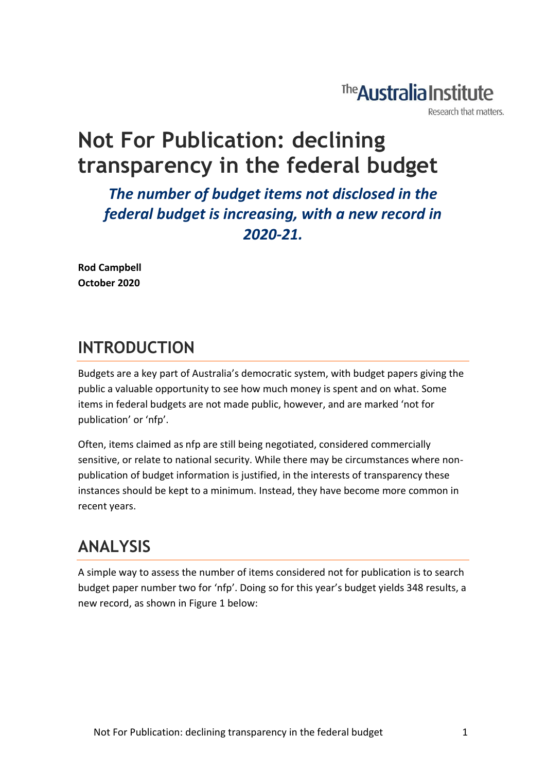# The **Australia Institute**

Research that matters.

# **Not For Publication: declining transparency in the federal budget**

*The number of budget items not disclosed in the federal budget is increasing, with a new record in 2020-21.*

**Rod Campbell October 2020**

# **INTRODUCTION**

Budgets are a key part of Australia's democratic system, with budget papers giving the public a valuable opportunity to see how much money is spent and on what. Some items in federal budgets are not made public, however, and are marked 'not for publication' or 'nfp'.

Often, items claimed as nfp are still being negotiated, considered commercially sensitive, or relate to national security. While there may be circumstances where nonpublication of budget information is justified, in the interests of transparency these instances should be kept to a minimum. Instead, they have become more common in recent years.

# **ANALYSIS**

A simple way to assess the number of items considered not for publication is to search budget paper number two for 'nfp'. Doing so for this year's budget yields 348 results, a new record, as shown in Figure 1 below: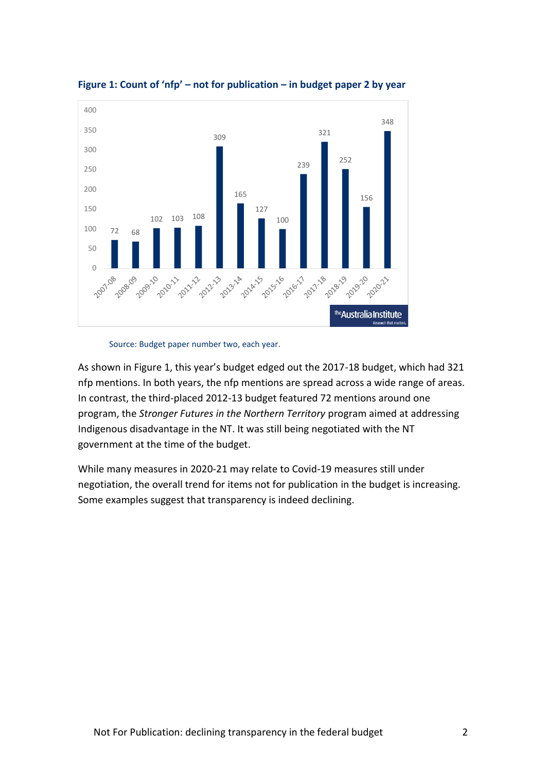



Source: Budget paper number two, each year.

As shown in Figure 1, this year's budget edged out the 2017-18 budget, which had 321 nfp mentions. In both years, the nfp mentions are spread across a wide range of areas. In contrast, the third-placed 2012-13 budget featured 72 mentions around one program, the *Stronger Futures in the Northern Territory* program aimed at addressing Indigenous disadvantage in the NT. It was still being negotiated with the NT government at the time of the budget.

While many measures in 2020-21 may relate to Covid-19 measures still under negotiation, the overall trend for items not for publication in the budget is increasing. Some examples suggest that transparency is indeed declining.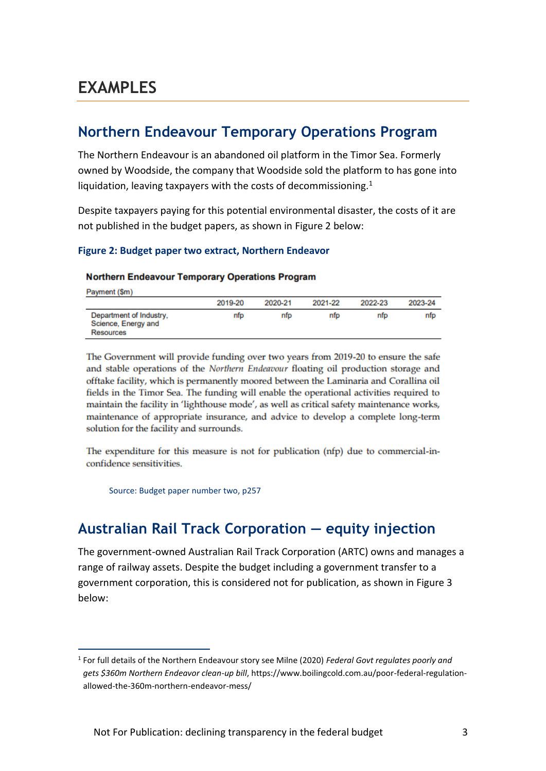## **Northern Endeavour Temporary Operations Program**

The Northern Endeavour is an abandoned oil platform in the Timor Sea. Formerly owned by Woodside, the company that Woodside sold the platform to has gone into liquidation, leaving taxpayers with the costs of decommissioning.<sup>1</sup>

Despite taxpayers paying for this potential environmental disaster, the costs of it are not published in the budget papers, as shown in Figure 2 below:

#### **Figure 2: Budget paper two extract, Northern Endeavor**

#### **Northern Endeavour Temporary Operations Program**

Payment (\$m)

|                                                             | 2019-20 | 2020-21 | 2021-22 | 2022-23 | 2023-24 |
|-------------------------------------------------------------|---------|---------|---------|---------|---------|
| Department of Industry,<br>Science, Energy and<br>Resources | nfp     | nfo     | nfp     | nfp     | nfp     |

The Government will provide funding over two years from 2019-20 to ensure the safe and stable operations of the Northern Endeavour floating oil production storage and offtake facility, which is permanently moored between the Laminaria and Corallina oil fields in the Timor Sea. The funding will enable the operational activities required to maintain the facility in 'lighthouse mode', as well as critical safety maintenance works, maintenance of appropriate insurance, and advice to develop a complete long-term solution for the facility and surrounds.

The expenditure for this measure is not for publication (nfp) due to commercial-inconfidence sensitivities.

Source: Budget paper number two, p257

### **Australian Rail Track Corporation — equity injection**

The government-owned Australian Rail Track Corporation (ARTC) owns and manages a range of railway assets. Despite the budget including a government transfer to a government corporation, this is considered not for publication, as shown in Figure 3 below:

<sup>1</sup> For full details of the Northern Endeavour story see Milne (2020) *Federal Govt regulates poorly and gets \$360m Northern Endeavor clean-up bill*, https://www.boilingcold.com.au/poor-federal-regulationallowed-the-360m-northern-endeavor-mess/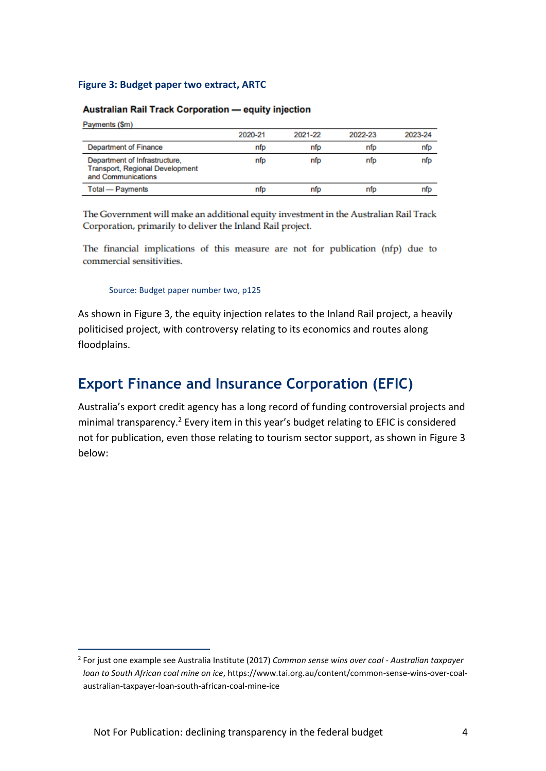#### **Figure 3: Budget paper two extract, ARTC**

#### **Australian Rail Track Corporation - equity injection**

Payments (\$m)

|                                                                                               | 2020-21 | 2021-22 | 2022-23 | 2023-24 |
|-----------------------------------------------------------------------------------------------|---------|---------|---------|---------|
| <b>Department of Finance</b>                                                                  | nfo     | nfp     | nfo     | nfp     |
| Department of Infrastructure,<br><b>Transport, Regional Development</b><br>and Communications | nfp     | nfp     | nfp     | nfp     |
| Total - Payments                                                                              | nfo     | nto     | nfo     | nfp     |

The Government will make an additional equity investment in the Australian Rail Track Corporation, primarily to deliver the Inland Rail project.

The financial implications of this measure are not for publication (nfp) due to commercial sensitivities.

Source: Budget paper number two, p125

As shown in Figure 3, the equity injection relates to the Inland Rail project, a heavily politicised project, with controversy relating to its economics and routes along floodplains.

### **Export Finance and Insurance Corporation (EFIC)**

Australia's export credit agency has a long record of funding controversial projects and minimal transparency.<sup>2</sup> Every item in this year's budget relating to EFIC is considered not for publication, even those relating to tourism sector support, as shown in Figure 3 below:

<sup>2</sup> For just one example see Australia Institute (2017) *Common sense wins over coal - Australian taxpayer loan to South African coal mine on ice*, https://www.tai.org.au/content/common-sense-wins-over-coalaustralian-taxpayer-loan-south-african-coal-mine-ice